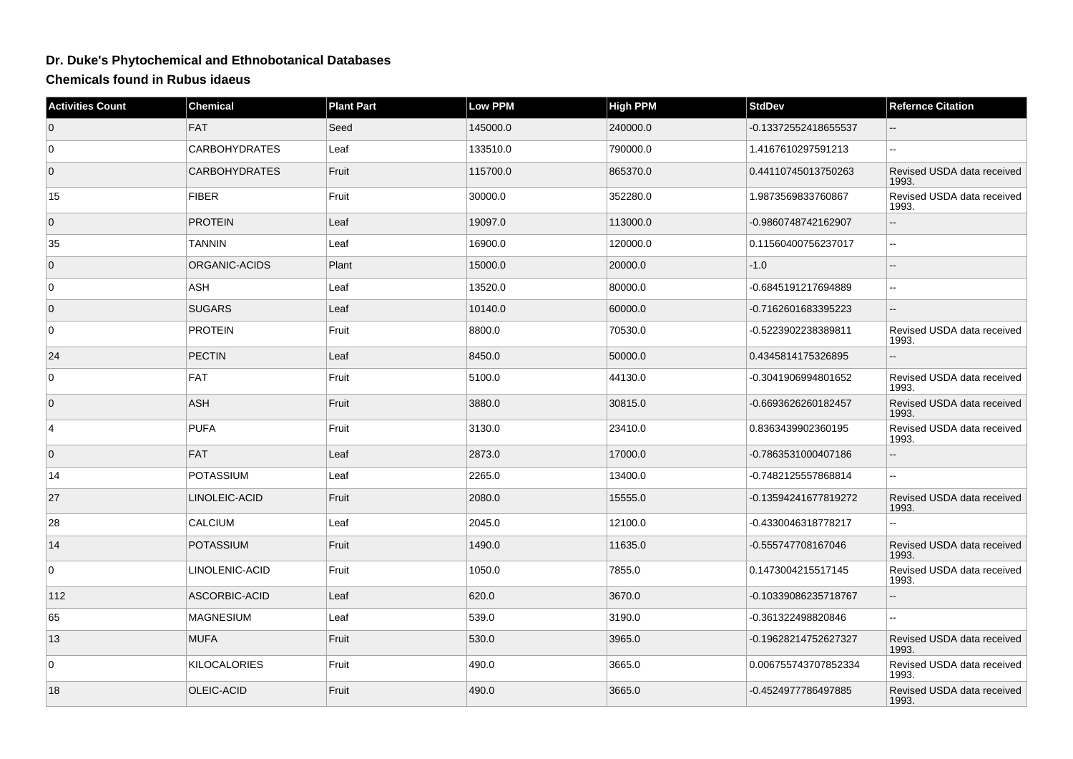## **Dr. Duke's Phytochemical and Ethnobotanical Databases**

**Chemicals found in Rubus idaeus**

| <b>Activities Count</b> | Chemical             | <b>Plant Part</b> | <b>Low PPM</b> | <b>High PPM</b> | <b>StdDev</b>        | <b>Refernce Citation</b>            |
|-------------------------|----------------------|-------------------|----------------|-----------------|----------------------|-------------------------------------|
| $\overline{0}$          | <b>FAT</b>           | Seed              | 145000.0       | 240000.0        | -0.13372552418655537 |                                     |
| 0                       | <b>CARBOHYDRATES</b> | Leaf              | 133510.0       | 790000.0        | 1.4167610297591213   | н.                                  |
| $\overline{0}$          | <b>CARBOHYDRATES</b> | Fruit             | 115700.0       | 865370.0        | 0.44110745013750263  | Revised USDA data received<br>1993. |
| 15                      | <b>FIBER</b>         | Fruit             | 30000.0        | 352280.0        | 1.9873569833760867   | Revised USDA data received<br>1993. |
| $\mathbf 0$             | <b>PROTEIN</b>       | Leaf              | 19097.0        | 113000.0        | -0.9860748742162907  |                                     |
| 35                      | <b>TANNIN</b>        | Leaf              | 16900.0        | 120000.0        | 0.11560400756237017  | --                                  |
| $\mathbf 0$             | ORGANIC-ACIDS        | Plant             | 15000.0        | 20000.0         | $-1.0$               |                                     |
| 0                       | <b>ASH</b>           | Leaf              | 13520.0        | 80000.0         | -0.6845191217694889  |                                     |
| $\mathbf 0$             | <b>SUGARS</b>        | Leaf              | 10140.0        | 60000.0         | -0.7162601683395223  |                                     |
| $\mathbf 0$             | <b>PROTEIN</b>       | Fruit             | 8800.0         | 70530.0         | -0.5223902238389811  | Revised USDA data received<br>1993. |
| 24                      | <b>PECTIN</b>        | Leaf              | 8450.0         | 50000.0         | 0.4345814175326895   |                                     |
| 0                       | <b>FAT</b>           | Fruit             | 5100.0         | 44130.0         | -0.3041906994801652  | Revised USDA data received<br>1993. |
| $\mathbf{0}$            | <b>ASH</b>           | Fruit             | 3880.0         | 30815.0         | -0.6693626260182457  | Revised USDA data received<br>1993. |
| 4                       | <b>PUFA</b>          | Fruit             | 3130.0         | 23410.0         | 0.8363439902360195   | Revised USDA data received<br>1993. |
| $\mathbf 0$             | <b>FAT</b>           | Leaf              | 2873.0         | 17000.0         | -0.7863531000407186  |                                     |
| 14                      | <b>POTASSIUM</b>     | Leaf              | 2265.0         | 13400.0         | -0.7482125557868814  | $\sim$                              |
| 27                      | LINOLEIC-ACID        | Fruit             | 2080.0         | 15555.0         | -0.13594241677819272 | Revised USDA data received<br>1993. |
| 28                      | <b>CALCIUM</b>       | Leaf              | 2045.0         | 12100.0         | -0.4330046318778217  | L.                                  |
| 14                      | <b>POTASSIUM</b>     | Fruit             | 1490.0         | 11635.0         | -0.555747708167046   | Revised USDA data received<br>1993. |
| $\mathbf 0$             | LINOLENIC-ACID       | Fruit             | 1050.0         | 7855.0          | 0.1473004215517145   | Revised USDA data received<br>1993. |
| 112                     | ASCORBIC-ACID        | Leaf              | 620.0          | 3670.0          | -0.10339086235718767 |                                     |
| 65                      | <b>MAGNESIUM</b>     | Leaf              | 539.0          | 3190.0          | -0.361322498820846   |                                     |
| 13                      | <b>MUFA</b>          | Fruit             | 530.0          | 3965.0          | -0.19628214752627327 | Revised USDA data received<br>1993. |
| 0                       | <b>KILOCALORIES</b>  | Fruit             | 490.0          | 3665.0          | 0.006755743707852334 | Revised USDA data received<br>1993. |
| 18                      | OLEIC-ACID           | Fruit             | 490.0          | 3665.0          | -0.4524977786497885  | Revised USDA data received<br>1993. |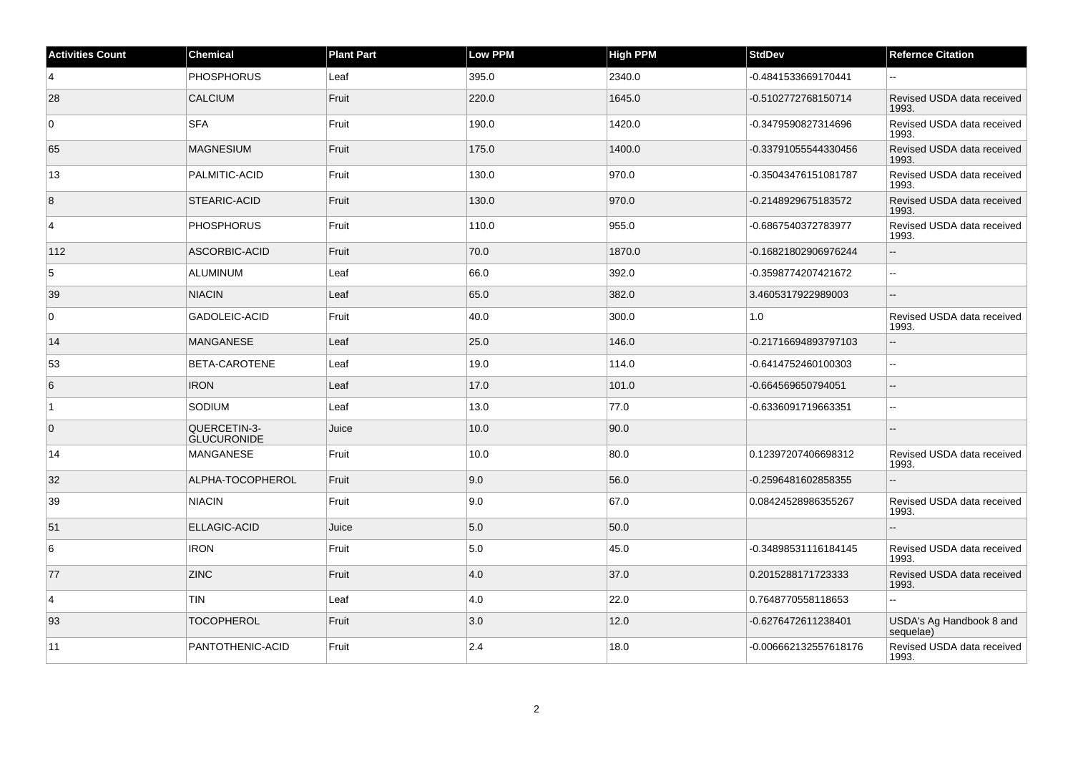| <b>Activities Count</b> | <b>Chemical</b>                    | <b>Plant Part</b> | Low PPM | <b>High PPM</b> | <b>StdDev</b>         | <b>Refernce Citation</b>              |
|-------------------------|------------------------------------|-------------------|---------|-----------------|-----------------------|---------------------------------------|
| 4                       | <b>PHOSPHORUS</b>                  | Leaf              | 395.0   | 2340.0          | -0.4841533669170441   | $\sim$                                |
| 28                      | <b>CALCIUM</b>                     | Fruit             | 220.0   | 1645.0          | -0.5102772768150714   | Revised USDA data received<br>1993.   |
| $\overline{0}$          | <b>SFA</b>                         | Fruit             | 190.0   | 1420.0          | -0.3479590827314696   | Revised USDA data received<br>1993.   |
| 65                      | <b>MAGNESIUM</b>                   | Fruit             | 175.0   | 1400.0          | -0.33791055544330456  | Revised USDA data received<br>1993.   |
| 13                      | PALMITIC-ACID                      | Fruit             | 130.0   | 970.0           | -0.35043476151081787  | Revised USDA data received<br>1993.   |
| 8                       | STEARIC-ACID                       | Fruit             | 130.0   | 970.0           | -0.2148929675183572   | Revised USDA data received<br>1993.   |
| $\overline{4}$          | <b>PHOSPHORUS</b>                  | Fruit             | 110.0   | 955.0           | -0.6867540372783977   | Revised USDA data received<br>1993.   |
| 112                     | ASCORBIC-ACID                      | Fruit             | 70.0    | 1870.0          | -0.16821802906976244  | $\overline{a}$                        |
| 5                       | ALUMINUM                           | Leaf              | 66.0    | 392.0           | -0.3598774207421672   |                                       |
| 39                      | <b>NIACIN</b>                      | Leaf              | 65.0    | 382.0           | 3.4605317922989003    | $\overline{a}$                        |
| $\overline{0}$          | GADOLEIC-ACID                      | Fruit             | 40.0    | 300.0           | 1.0                   | Revised USDA data received<br>1993.   |
| 14                      | <b>MANGANESE</b>                   | Leaf              | 25.0    | 146.0           | -0.21716694893797103  | $\sim$                                |
| 53                      | BETA-CAROTENE                      | Leaf              | 19.0    | 114.0           | -0.6414752460100303   | Ξ.                                    |
| 6                       | <b>IRON</b>                        | Leaf              | 17.0    | 101.0           | -0.664569650794051    | $-$                                   |
| $\overline{1}$          | SODIUM                             | Leaf              | 13.0    | 77.0            | -0.6336091719663351   |                                       |
| $\overline{0}$          | QUERCETIN-3-<br><b>GLUCURONIDE</b> | Juice             | 10.0    | 90.0            |                       |                                       |
| 14                      | MANGANESE                          | Fruit             | 10.0    | 80.0            | 0.12397207406698312   | Revised USDA data received<br>1993.   |
| 32                      | ALPHA-TOCOPHEROL                   | Fruit             | 9.0     | 56.0            | -0.2596481602858355   |                                       |
| 39                      | <b>NIACIN</b>                      | Fruit             | 9.0     | 67.0            | 0.08424528986355267   | Revised USDA data received<br>1993.   |
| 51                      | <b>ELLAGIC-ACID</b>                | Juice             | 5.0     | 50.0            |                       | $-$                                   |
| 6                       | <b>IRON</b>                        | Fruit             | 5.0     | 45.0            | -0.34898531116184145  | Revised USDA data received<br>1993.   |
| 77                      | <b>ZINC</b>                        | Fruit             | 4.0     | 37.0            | 0.2015288171723333    | Revised USDA data received<br>1993.   |
| $\overline{4}$          | <b>TIN</b>                         | Leaf              | 4.0     | 22.0            | 0.7648770558118653    | $\overline{a}$                        |
| 93                      | <b>TOCOPHEROL</b>                  | Fruit             | 3.0     | 12.0            | -0.6276472611238401   | USDA's Ag Handbook 8 and<br>sequelae) |
| 11                      | PANTOTHENIC-ACID                   | Fruit             | 2.4     | 18.0            | -0.006662132557618176 | Revised USDA data received<br>1993.   |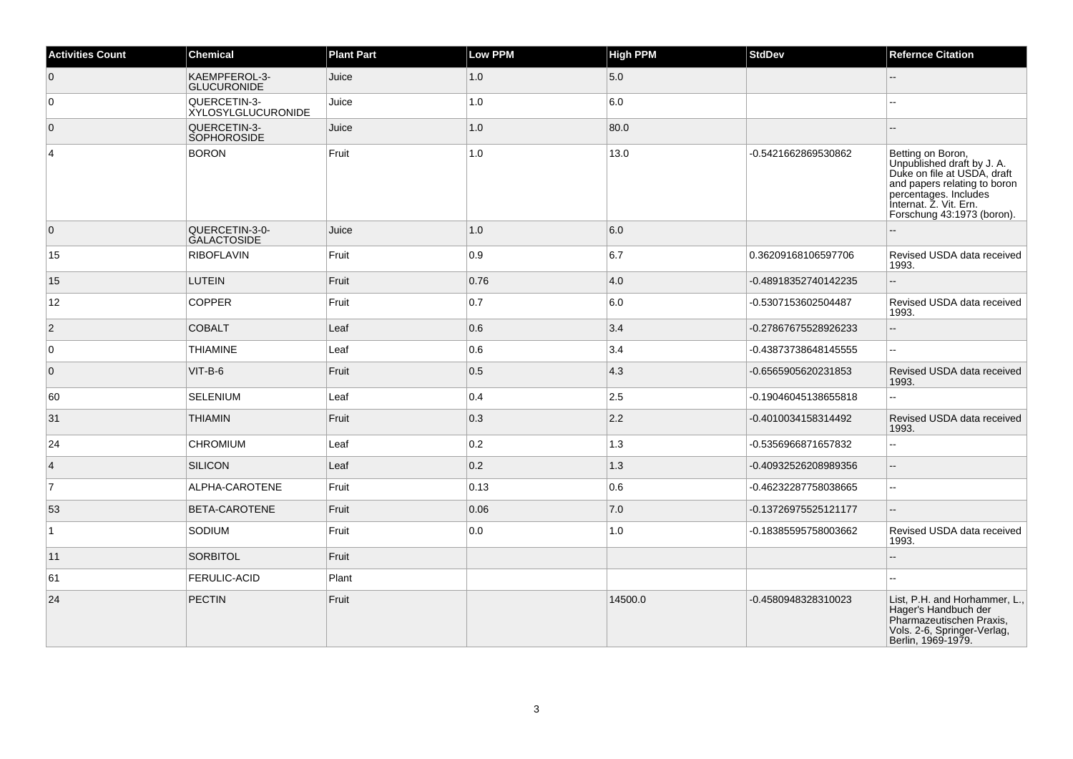| <b>Activities Count</b> | <b>Chemical</b>                      | <b>Plant Part</b> | Low PPM | <b>High PPM</b> | <b>StdDev</b>        | <b>Refernce Citation</b>                                                                                                                                                                        |
|-------------------------|--------------------------------------|-------------------|---------|-----------------|----------------------|-------------------------------------------------------------------------------------------------------------------------------------------------------------------------------------------------|
| $\overline{0}$          | KAEMPFEROL-3-<br><b>GLUCURONIDE</b>  | Juice             | 1.0     | 5.0             |                      |                                                                                                                                                                                                 |
| 0                       | QUERCETIN-3-<br>XYLOSYLGLUCURONIDE   | Juice             | 1.0     | 6.0             |                      |                                                                                                                                                                                                 |
| $\overline{0}$          | QUERCETIN-3-<br>SOPHOROSIDE          | Juice             | 1.0     | 80.0            |                      |                                                                                                                                                                                                 |
| $\overline{4}$          | <b>BORON</b>                         | Fruit             | 1.0     | 13.0            | -0.5421662869530862  | Betting on Boron,<br>Unpublished draft by J. A.<br>Duke on file at USDA, draft<br>and papers relating to boron<br>percentages. Includes<br>Internat. Z. Vit. Ern.<br>Forschung 43:1973 (boron). |
| $\overline{0}$          | QUERCETIN-3-0-<br><b>GALACTOSIDE</b> | Juice             | 1.0     | 6.0             |                      |                                                                                                                                                                                                 |
| 15                      | <b>RIBOFLAVIN</b>                    | Fruit             | 0.9     | 6.7             | 0.36209168106597706  | Revised USDA data received<br>1993.                                                                                                                                                             |
| 15                      | <b>LUTEIN</b>                        | Fruit             | 0.76    | 4.0             | -0.48918352740142235 | Ξ.                                                                                                                                                                                              |
| 12                      | <b>COPPER</b>                        | Fruit             | 0.7     | 6.0             | -0.5307153602504487  | Revised USDA data received<br>1993.                                                                                                                                                             |
| $ 2\rangle$             | <b>COBALT</b>                        | Leaf              | 0.6     | 3.4             | -0.27867675528926233 | L.                                                                                                                                                                                              |
| $\overline{0}$          | <b>THIAMINE</b>                      | Leaf              | 0.6     | 3.4             | -0.43873738648145555 | Щ,                                                                                                                                                                                              |
| $\overline{0}$          | $VIT-B-6$                            | Fruit             | 0.5     | $ 4.3\rangle$   | -0.6565905620231853  | Revised USDA data received<br>1993.                                                                                                                                                             |
| 60                      | <b>SELENIUM</b>                      | Leaf              | 0.4     | 2.5             | -0.19046045138655818 | L.                                                                                                                                                                                              |
| 31                      | <b>THIAMIN</b>                       | Fruit             | 0.3     | 2.2             | -0.4010034158314492  | Revised USDA data received<br>1993.                                                                                                                                                             |
| 24                      | <b>CHROMIUM</b>                      | Leaf              | 0.2     | 1.3             | -0.5356966871657832  | Ξ.                                                                                                                                                                                              |
| $\overline{4}$          | SILICON                              | Leaf              | 0.2     | 1.3             | -0.40932526208989356 | $\overline{a}$                                                                                                                                                                                  |
| $\overline{7}$          | ALPHA-CAROTENE                       | Fruit             | 0.13    | 0.6             | -0.46232287758038665 | $\overline{a}$                                                                                                                                                                                  |
| 53                      | BETA-CAROTENE                        | Fruit             | 0.06    | 7.0             | -0.13726975525121177 | ш,                                                                                                                                                                                              |
| 1                       | SODIUM                               | Fruit             | 0.0     | 1.0             | -0.18385595758003662 | Revised USDA data received<br>1993.                                                                                                                                                             |
| 11                      | <b>SORBITOL</b>                      | Fruit             |         |                 |                      |                                                                                                                                                                                                 |
| 61                      | <b>FERULIC-ACID</b>                  | Plant             |         |                 |                      | ۵.                                                                                                                                                                                              |
| 24                      | PECTIN                               | Fruit             |         | 14500.0         | -0.4580948328310023  | List, P.H. and Horhammer, L.,<br>Hager's Handbuch der<br>Pharmazeutischen Praxis,<br>Vols. 2-6, Springer-Verlag,<br>Berlin, 1969-1979.                                                          |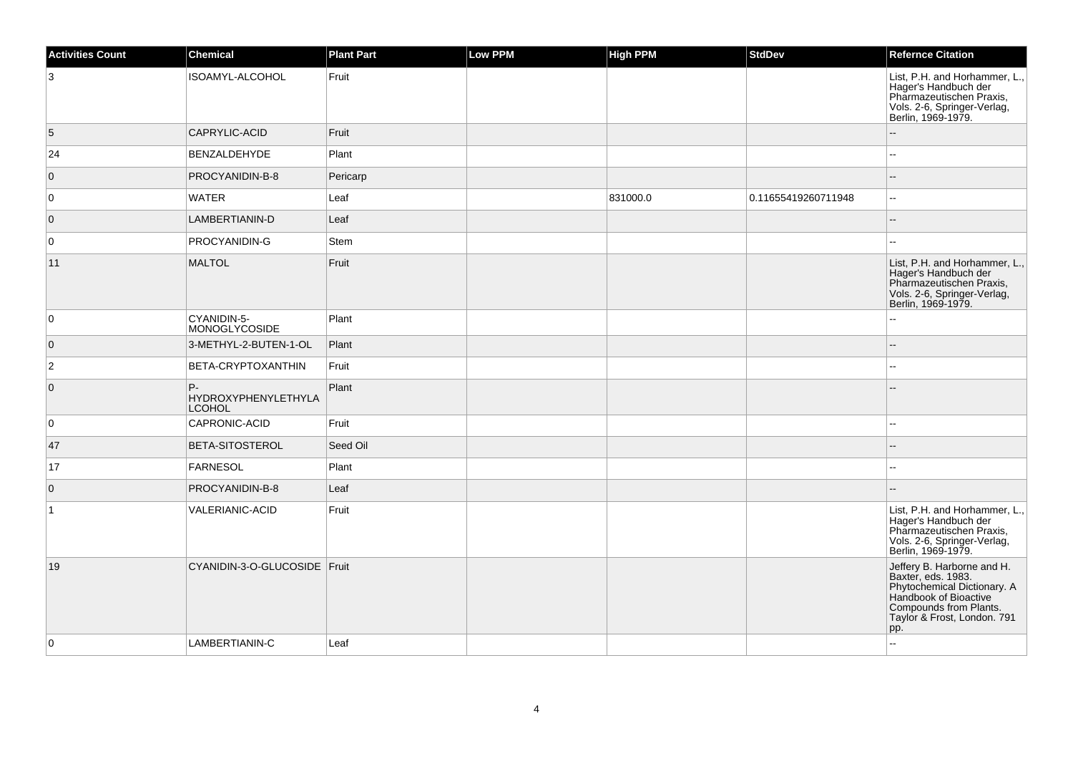| <b>Activities Count</b> | Chemical                                   | <b>Plant Part</b> | Low PPM | <b>High PPM</b> | <b>StdDev</b>       | <b>Refernce Citation</b>                                                                                                                                                 |
|-------------------------|--------------------------------------------|-------------------|---------|-----------------|---------------------|--------------------------------------------------------------------------------------------------------------------------------------------------------------------------|
| 3                       | ISOAMYL-ALCOHOL                            | Fruit             |         |                 |                     | List, P.H. and Horhammer, L.,<br>Hager's Handbuch der<br>Pharmazeutischen Praxis,<br>Vols. 2-6, Springer-Verlag,<br>Berlin, 1969-1979.                                   |
| 5                       | CAPRYLIC-ACID                              | Fruit             |         |                 |                     |                                                                                                                                                                          |
| 24                      | BENZALDEHYDE                               | Plant             |         |                 |                     | Ξ.                                                                                                                                                                       |
| $\overline{0}$          | PROCYANIDIN-B-8                            | Pericarp          |         |                 |                     | $\sim$                                                                                                                                                                   |
| 0                       | <b>WATER</b>                               | Leaf              |         | 831000.0        | 0.11655419260711948 |                                                                                                                                                                          |
| $\overline{0}$          | LAMBERTIANIN-D                             | Leaf              |         |                 |                     |                                                                                                                                                                          |
| $\overline{0}$          | PROCYANIDIN-G                              | <b>Stem</b>       |         |                 |                     |                                                                                                                                                                          |
| 11                      | <b>MALTOL</b>                              | Fruit             |         |                 |                     | List, P.H. and Horhammer, L.,<br>Hager's Handbuch der<br>Pharmazeutischen Praxis,<br>Vols. 2-6, Springer-Verlag,<br>Berlin, 1969-1979.                                   |
| $\overline{0}$          | CYANIDIN-5-<br><b>MONOGLYCOSIDE</b>        | Plant             |         |                 |                     |                                                                                                                                                                          |
| $\overline{0}$          | 3-METHYL-2-BUTEN-1-OL                      | Plant             |         |                 |                     |                                                                                                                                                                          |
| $\overline{2}$          | BETA-CRYPTOXANTHIN                         | Fruit             |         |                 |                     | $-$                                                                                                                                                                      |
| $\overline{0}$          | P-<br>HYDROXYPHENYLETHYLA<br><b>LCOHOL</b> | Plant             |         |                 |                     |                                                                                                                                                                          |
| $\overline{0}$          | CAPRONIC-ACID                              | Fruit             |         |                 |                     |                                                                                                                                                                          |
| 47                      | BETA-SITOSTEROL                            | Seed Oil          |         |                 |                     |                                                                                                                                                                          |
| 17                      | FARNESOL                                   | Plant             |         |                 |                     |                                                                                                                                                                          |
| $\overline{0}$          | PROCYANIDIN-B-8                            | Leaf              |         |                 |                     |                                                                                                                                                                          |
| $\overline{1}$          | VALERIANIC-ACID                            | Fruit             |         |                 |                     | List, P.H. and Horhammer, L.,<br>Hager's Handbuch der<br>Pharmazeutischen Praxis,<br>Vols. 2-6, Springer-Verlag,<br>Berlin, 1969-1979.                                   |
| 19                      | CYANIDIN-3-O-GLUCOSIDE Fruit               |                   |         |                 |                     | Jeffery B. Harborne and H.<br>Baxter, eds. 1983.<br>Phytochemical Dictionary. A<br>Handbook of Bioactive<br>Compounds from Plants.<br>Taylor & Frost, London. 791<br>pp. |
| $\overline{0}$          | LAMBERTIANIN-C                             | Leaf              |         |                 |                     | $\overline{a}$                                                                                                                                                           |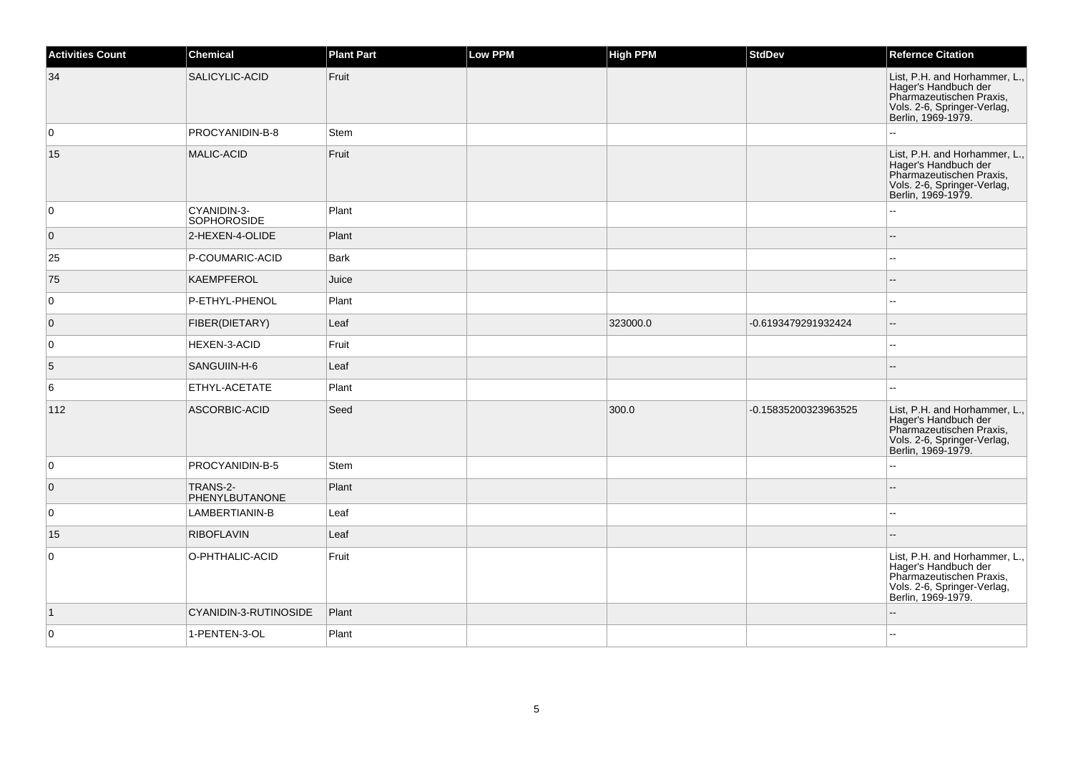| <b>Activities Count</b> | <b>Chemical</b>                   | <b>Plant Part</b> | <b>Low PPM</b> | <b>High PPM</b> | <b>StdDev</b>        | <b>Refernce Citation</b>                                                                                                               |
|-------------------------|-----------------------------------|-------------------|----------------|-----------------|----------------------|----------------------------------------------------------------------------------------------------------------------------------------|
| 34                      | SALICYLIC-ACID                    | Fruit             |                |                 |                      | List, P.H. and Horhammer, L.,<br>Hager's Handbuch der<br>Pharmazeutischen Praxis,<br>Vols. 2-6, Springer-Verlag,<br>Berlin, 1969-1979. |
| 0                       | PROCYANIDIN-B-8                   | <b>Stem</b>       |                |                 |                      | 44                                                                                                                                     |
| 15                      | <b>MALIC-ACID</b>                 | Fruit             |                |                 |                      | List, P.H. and Horhammer, L.<br>Hager's Handbuch der<br>Pharmazeutischen Praxis,<br>Vols. 2-6, Springer-Verlag,<br>Berlin, 1969-1979.  |
| 0                       | CYANIDIN-3-<br><b>SOPHOROSIDE</b> | Plant             |                |                 |                      |                                                                                                                                        |
| $\overline{0}$          | 2-HEXEN-4-OLIDE                   | Plant             |                |                 |                      |                                                                                                                                        |
| 25                      | P-COUMARIC-ACID                   | Bark              |                |                 |                      | Щ,                                                                                                                                     |
| 75                      | KAEMPFEROL                        | Juice             |                |                 |                      | $\overline{a}$                                                                                                                         |
| 0                       | P-ETHYL-PHENOL                    | Plant             |                |                 |                      | $\overline{a}$                                                                                                                         |
| $\overline{0}$          | FIBER(DIETARY)                    | Leaf              |                | 323000.0        | -0.6193479291932424  | $\overline{\phantom{a}}$                                                                                                               |
| $\mathbf 0$             | HEXEN-3-ACID                      | Fruit             |                |                 |                      | $\overline{a}$                                                                                                                         |
| 5                       | SANGUIIN-H-6                      | Leaf              |                |                 |                      | $-$                                                                                                                                    |
| 6                       | ETHYL-ACETATE                     | Plant             |                |                 |                      | ۵.                                                                                                                                     |
| 112                     | ASCORBIC-ACID                     | Seed              |                | 300.0           | -0.15835200323963525 | List, P.H. and Horhammer, L.<br>Hager's Handbuch der<br>Pharmazeutischen Praxis,<br>Vols. 2-6, Springer-Verlag,<br>Berlin, 1969-1979.  |
| 0                       | PROCYANIDIN-B-5                   | Stem              |                |                 |                      | Ξ.                                                                                                                                     |
| $\overline{0}$          | TRANS-2-<br>PHENYLBUTANONE        | Plant             |                |                 |                      |                                                                                                                                        |
| 0                       | LAMBERTIANIN-B                    | Leaf              |                |                 |                      | шш.                                                                                                                                    |
| 15                      | <b>RIBOFLAVIN</b>                 | Leaf              |                |                 |                      |                                                                                                                                        |
| 0                       | O-PHTHALIC-ACID                   | Fruit             |                |                 |                      | List, P.H. and Horhammer, L.,<br>Hager's Handbuch der<br>Pharmazeutischen Praxis,<br>Vols. 2-6, Springer-Verlag,<br>Berlin, 1969-1979. |
| $\vert$ 1               | CYANIDIN-3-RUTINOSIDE             | Plant             |                |                 |                      |                                                                                                                                        |
| 0                       | 1-PENTEN-3-OL                     | Plant             |                |                 |                      | $\sim$                                                                                                                                 |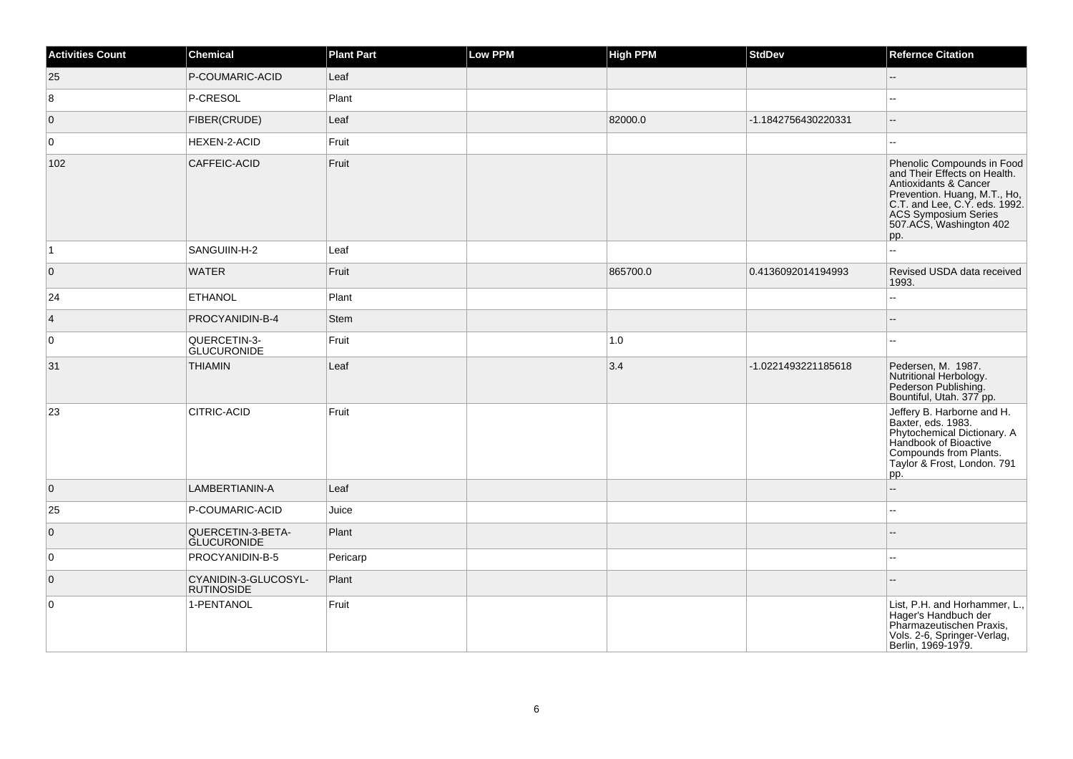| <b>Activities Count</b> | <b>Chemical</b>                           | <b>Plant Part</b> | <b>Low PPM</b> | <b>High PPM</b> | <b>StdDev</b>       | <b>Refernce Citation</b>                                                                                                                                                                                       |
|-------------------------|-------------------------------------------|-------------------|----------------|-----------------|---------------------|----------------------------------------------------------------------------------------------------------------------------------------------------------------------------------------------------------------|
| 25                      | P-COUMARIC-ACID                           | Leaf              |                |                 |                     | $\overline{\phantom{a}}$                                                                                                                                                                                       |
| 8                       | P-CRESOL                                  | Plant             |                |                 |                     | ÷÷.                                                                                                                                                                                                            |
| $\overline{0}$          | FIBER(CRUDE)                              | Leaf              |                | 82000.0         | -1.1842756430220331 | $\overline{\phantom{a}}$                                                                                                                                                                                       |
| $\mathbf 0$             | HEXEN-2-ACID                              | Fruit             |                |                 |                     | Ξ.                                                                                                                                                                                                             |
| 102                     | CAFFEIC-ACID                              | Fruit             |                |                 |                     | Phenolic Compounds in Food<br>and Their Effects on Health.<br>Antioxidants & Cancer<br>Prevention. Huang, M.T., Ho,<br>C.T. and Lee, C.Y. eds. 1992.<br>ACS Symposium Series<br>507.ACS, Washington 402<br>pp. |
| $\vert$ 1               | SANGUIIN-H-2                              | Leaf              |                |                 |                     | L.                                                                                                                                                                                                             |
| $\overline{0}$          | <b>WATER</b>                              | Fruit             |                | 865700.0        | 0.4136092014194993  | Revised USDA data received<br>1993.                                                                                                                                                                            |
| 24                      | <b>ETHANOL</b>                            | Plant             |                |                 |                     | $\overline{a}$                                                                                                                                                                                                 |
| $\overline{4}$          | PROCYANIDIN-B-4                           | <b>Stem</b>       |                |                 |                     |                                                                                                                                                                                                                |
| $\mathbf 0$             | QUERCETIN-3-<br><b>GLUCURONIDE</b>        | Fruit             |                | 1.0             |                     | ÷÷.                                                                                                                                                                                                            |
| 31                      | <b>THIAMIN</b>                            | Leaf              |                | 3.4             | -1.0221493221185618 | Pedersen, M. 1987.<br>Nutritional Herbology.<br>Pederson Publishing.<br>Bountiful, Utah. 377 pp.                                                                                                               |
| 23                      | CITRIC-ACID                               | Fruit             |                |                 |                     | Jeffery B. Harborne and H.<br>Baxter, eds. 1983.<br>Phytochemical Dictionary. A<br>Handbook of Bioactive<br>Compounds from Plants.<br>Taylor & Frost, London. 791<br>pp.                                       |
| $\overline{0}$          | LAMBERTIANIN-A                            | Leaf              |                |                 |                     | Ξ.                                                                                                                                                                                                             |
| 25                      | P-COUMARIC-ACID                           | Juice             |                |                 |                     |                                                                                                                                                                                                                |
| $\overline{0}$          | QUERCETIN-3-BETA-<br><b>GLUCURONIDE</b>   | Plant             |                |                 |                     |                                                                                                                                                                                                                |
| 0                       | PROCYANIDIN-B-5                           | Pericarp          |                |                 |                     | ц,                                                                                                                                                                                                             |
| $\overline{0}$          | CYANIDIN-3-GLUCOSYL-<br><b>RUTINOSIDE</b> | Plant             |                |                 |                     |                                                                                                                                                                                                                |
| $\mathbf 0$             | 1-PENTANOL                                | Fruit             |                |                 |                     | List, P.H. and Horhammer, L.,<br>Hager's Handbuch der<br>Pharmazeutischen Praxis,<br>Vols. 2-6, Springer-Verlag,<br>Berlin, 1969-1979.                                                                         |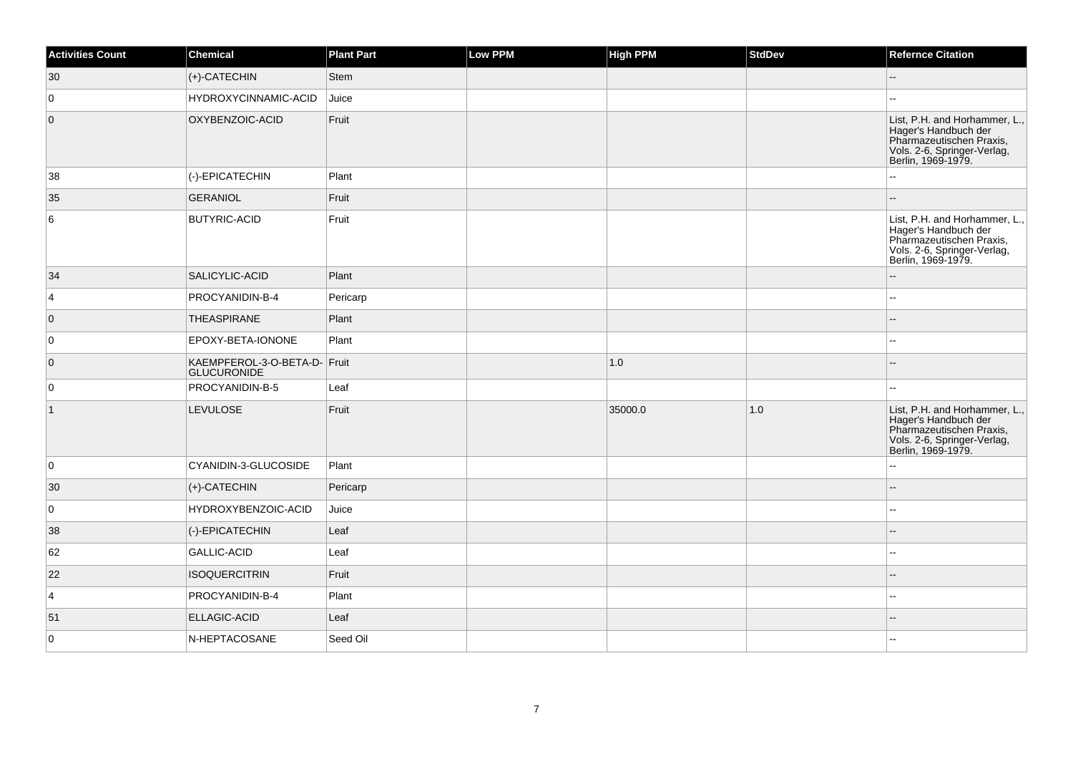| <b>Activities Count</b> | Chemical                                           | <b>Plant Part</b> | Low PPM | <b>High PPM</b> | <b>StdDev</b> | <b>Refernce Citation</b>                                                                                                               |
|-------------------------|----------------------------------------------------|-------------------|---------|-----------------|---------------|----------------------------------------------------------------------------------------------------------------------------------------|
| 30                      | $ $ (+)-CATECHIN                                   | Stem              |         |                 |               | $-$                                                                                                                                    |
| $\overline{0}$          | <b>HYDROXYCINNAMIC-ACID</b>                        | Juice             |         |                 |               |                                                                                                                                        |
| $\overline{0}$          | OXYBENZOIC-ACID                                    | Fruit             |         |                 |               | List, P.H. and Horhammer, L.,<br>Hager's Handbuch der<br>Pharmazeutischen Praxis,<br>Vols. 2-6, Springer-Verlag,<br>Berlin, 1969-1979. |
| 38                      | (-)-EPICATECHIN                                    | Plant             |         |                 |               | $\overline{\phantom{a}}$                                                                                                               |
| 35                      | GERANIOL                                           | Fruit             |         |                 |               |                                                                                                                                        |
| 6                       | <b>BUTYRIC-ACID</b>                                | Fruit             |         |                 |               | List, P.H. and Horhammer, L.,<br>Hager's Handbuch der<br>Pharmazeutischen Praxis,<br>Vols. 2-6, Springer-Verlag,<br>Berlin, 1969-1979. |
| 34                      | SALICYLIC-ACID                                     | Plant             |         |                 |               | $-$                                                                                                                                    |
| $\overline{4}$          | PROCYANIDIN-B-4                                    | Pericarp          |         |                 |               | $\overline{a}$                                                                                                                         |
| $\overline{0}$          | THEASPIRANE                                        | Plant             |         |                 |               | $-$                                                                                                                                    |
| 0                       | EPOXY-BETA-IONONE                                  | Plant             |         |                 |               | $-$                                                                                                                                    |
| $\overline{0}$          | KAEMPFEROL-3-O-BETA-D- Fruit<br><b>GLUCURONIDE</b> |                   |         | 1.0             |               |                                                                                                                                        |
| 0                       | PROCYANIDIN-B-5                                    | Leaf              |         |                 |               |                                                                                                                                        |
| $\vert$ 1               | <b>LEVULOSE</b>                                    | Fruit             |         | 35000.0         | 1.0           | List, P.H. and Horhammer, L.,<br>Hager's Handbuch der<br>Pharmazeutischen Praxis,<br>Vols. 2-6, Springer-Verlag,<br>Berlin, 1969-1979. |
| 0                       | CYANIDIN-3-GLUCOSIDE                               | Plant             |         |                 |               | ٠.                                                                                                                                     |
| 30                      | $ $ (+)-CATECHIN                                   | Pericarp          |         |                 |               | $\overline{a}$                                                                                                                         |
| $\overline{0}$          | HYDROXYBENZOIC-ACID                                | Juice             |         |                 |               | $\sim$                                                                                                                                 |
| 38                      | (-)-EPICATECHIN                                    | Leaf              |         |                 |               | $\sim$                                                                                                                                 |
| 62                      | GALLIC-ACID                                        | Leaf              |         |                 |               | $-$                                                                                                                                    |
| 22                      | <b>ISOQUERCITRIN</b>                               | Fruit             |         |                 |               |                                                                                                                                        |
| $\overline{4}$          | PROCYANIDIN-B-4                                    | Plant             |         |                 |               | $\overline{a}$                                                                                                                         |
| 51                      | <b>ELLAGIC-ACID</b>                                | Leaf              |         |                 |               |                                                                                                                                        |
| $\overline{0}$          | N-HEPTACOSANE                                      | Seed Oil          |         |                 |               |                                                                                                                                        |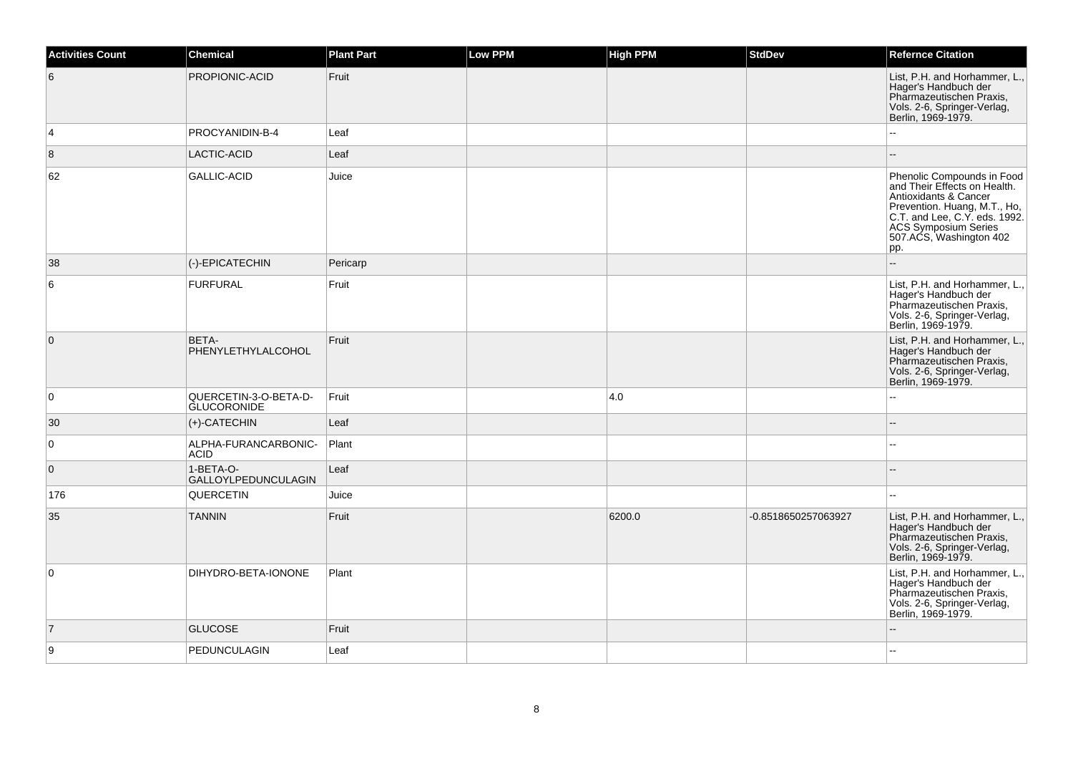| <b>Activities Count</b> | <b>Chemical</b>                             | <b>Plant Part</b> | Low PPM | <b>High PPM</b> | <b>StdDev</b>       | <b>Refernce Citation</b>                                                                                                                                                                                    |
|-------------------------|---------------------------------------------|-------------------|---------|-----------------|---------------------|-------------------------------------------------------------------------------------------------------------------------------------------------------------------------------------------------------------|
| 6                       | PROPIONIC-ACID                              | Fruit             |         |                 |                     | List, P.H. and Horhammer, L.,<br>Hager's Handbuch der<br>Pharmazeutischen Praxis,<br>Vols. 2-6, Springer-Verlag,<br>Berlin, 1969-1979.                                                                      |
| $\overline{4}$          | PROCYANIDIN-B-4                             | Leaf              |         |                 |                     |                                                                                                                                                                                                             |
| 8                       | LACTIC-ACID                                 | Leaf              |         |                 |                     |                                                                                                                                                                                                             |
| 62                      | <b>GALLIC-ACID</b>                          | Juice             |         |                 |                     | Phenolic Compounds in Food<br>and Their Effects on Health.<br>Antioxidants & Cancer<br>Prevention. Huang, M.T., Ho, C.T. and Lee, C.Y. eds. 1992.<br>ACS Symposium Series<br>507.ACS, Washington 402<br>pp. |
| 38                      | (-)-EPICATECHIN                             | Pericarp          |         |                 |                     | -−                                                                                                                                                                                                          |
| 6                       | <b>FURFURAL</b>                             | Fruit             |         |                 |                     | List, P.H. and Horhammer, L.,<br>Hager's Handbuch der<br>Pharmazeutischen Praxis,<br>Vols. 2-6, Springer-Verlag,<br>Berlin, 1969-1979.                                                                      |
| $\overline{0}$          | BETA-<br>PHENYLETHYLALCOHOL                 | Fruit             |         |                 |                     | List, P.H. and Horhammer, L.,<br>Hager's Handbuch der<br>Pharmazeutischen Praxis,<br>Vols. 2-6, Springer-Verlag,<br>Berlin, 1969-1979.                                                                      |
| $\overline{0}$          | QUERCETIN-3-O-BETA-D-<br><b>GLUCORONIDE</b> | Fruit             |         | 4.0             |                     |                                                                                                                                                                                                             |
| 30                      | $(+)$ -CATECHIN                             | Leaf              |         |                 |                     |                                                                                                                                                                                                             |
| $\overline{0}$          | ALPHA-FURANCARBONIC-<br><b>ACID</b>         | Plant             |         |                 |                     |                                                                                                                                                                                                             |
| $\overline{0}$          | 1-BETA-O-<br><b>GALLOYLPEDUNCULAGIN</b>     | Leaf              |         |                 |                     | --                                                                                                                                                                                                          |
| 176                     | QUERCETIN                                   | Juice             |         |                 |                     | $\overline{\phantom{a}}$                                                                                                                                                                                    |
| 35                      | <b>TANNIN</b>                               | Fruit             |         | 6200.0          | -0.8518650257063927 | List, P.H. and Horhammer, L.,<br>Hager's Handbuch der<br>Pharmazeutischen Praxis,<br>Vols. 2-6, Springer-Verlag,<br>Berlin, 1969-1979.                                                                      |
| $\overline{0}$          | DIHYDRO-BETA-IONONE                         | Plant             |         |                 |                     | List, P.H. and Horhammer, L.,<br>Hager's Handbuch der<br>Pharmazeutischen Praxis,<br>Vols. 2-6, Springer-Verlag,<br>Berlin, 1969-1979.                                                                      |
| $\overline{7}$          | <b>GLUCOSE</b>                              | Fruit             |         |                 |                     |                                                                                                                                                                                                             |
| 9                       | PEDUNCULAGIN                                | Leaf              |         |                 |                     | --                                                                                                                                                                                                          |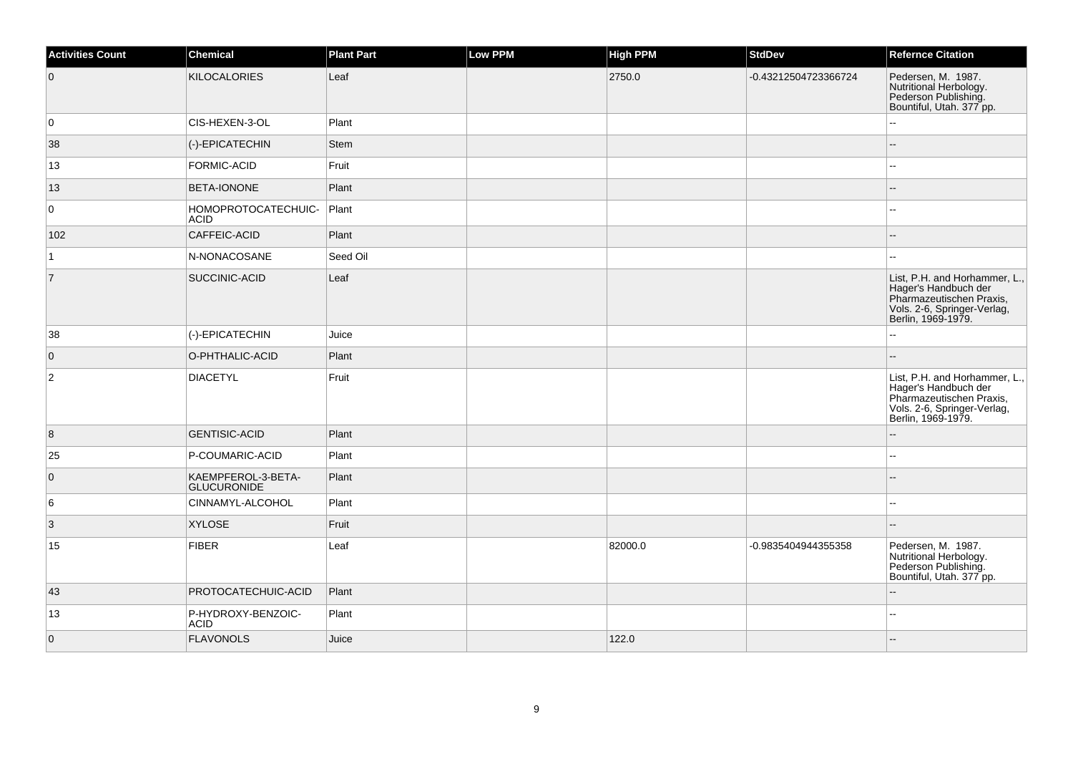| <b>Activities Count</b> | Chemical                                 | <b>Plant Part</b> | <b>Low PPM</b> | <b>High PPM</b> | <b>StdDev</b>        | <b>Refernce Citation</b>                                                                                                               |
|-------------------------|------------------------------------------|-------------------|----------------|-----------------|----------------------|----------------------------------------------------------------------------------------------------------------------------------------|
| $\overline{0}$          | KILOCALORIES                             | Leaf              |                | 2750.0          | -0.43212504723366724 | Pedersen, M. 1987.<br>Nutritional Herbology.<br>Pederson Publishing.<br>Bountiful, Utah. 377 pp.                                       |
| 0                       | CIS-HEXEN-3-OL                           | Plant             |                |                 |                      |                                                                                                                                        |
| 38                      | (-)-EPICATECHIN                          | <b>Stem</b>       |                |                 |                      |                                                                                                                                        |
| 13                      | FORMIC-ACID                              | Fruit             |                |                 |                      |                                                                                                                                        |
| 13                      | <b>BETA-IONONE</b>                       | Plant             |                |                 |                      |                                                                                                                                        |
| 0                       | HOMOPROTOCATECHUIC-<br><b>ACID</b>       | Plant             |                |                 |                      | --                                                                                                                                     |
| 102                     | CAFFEIC-ACID                             | Plant             |                |                 |                      |                                                                                                                                        |
| 1                       | N-NONACOSANE                             | Seed Oil          |                |                 |                      | ÷÷.                                                                                                                                    |
| $\overline{7}$          | SUCCINIC-ACID                            | Leaf              |                |                 |                      | List, P.H. and Horhammer, L.,<br>Hager's Handbuch der<br>Pharmazeutischen Praxis,<br>Vols. 2-6, Springer-Verlag,<br>Berlin, 1969-1979. |
| 38                      | (-)-EPICATECHIN                          | Juice             |                |                 |                      | Ξ.                                                                                                                                     |
| $\overline{0}$          | O-PHTHALIC-ACID                          | Plant             |                |                 |                      |                                                                                                                                        |
| $\vert$ 2               | <b>DIACETYL</b>                          | Fruit             |                |                 |                      | List, P.H. and Horhammer, L.,<br>Hager's Handbuch der<br>Pharmazeutischen Praxis,<br>Vols. 2-6, Springer-Verlag,<br>Berlin, 1969-1979. |
| 8                       | <b>GENTISIC-ACID</b>                     | Plant             |                |                 |                      | $\overline{\phantom{a}}$                                                                                                               |
| 25                      | P-COUMARIC-ACID                          | Plant             |                |                 |                      | ۵.                                                                                                                                     |
| $\overline{0}$          | KAEMPFEROL-3-BETA-<br><b>GLUCURONIDE</b> | Plant             |                |                 |                      |                                                                                                                                        |
| 6                       | CINNAMYL-ALCOHOL                         | Plant             |                |                 |                      | $-1$                                                                                                                                   |
| $\vert$ 3               | <b>XYLOSE</b>                            | Fruit             |                |                 |                      | $-$                                                                                                                                    |
| 15                      | FIBER                                    | Leaf              |                | 82000.0         | -0.9835404944355358  | Pedersen, M. 1987.<br>Nutritional Herbology.<br>Pederson Publishing.<br>Bountiful, Utah. 377 pp.                                       |
| 43                      | PROTOCATECHUIC-ACID                      | Plant             |                |                 |                      |                                                                                                                                        |
| 13                      | P-HYDROXY-BENZOIC-<br><b>ACID</b>        | Plant             |                |                 |                      | Щ,                                                                                                                                     |
| $\overline{0}$          | FLAVONOLS                                | Juice             |                | 122.0           |                      |                                                                                                                                        |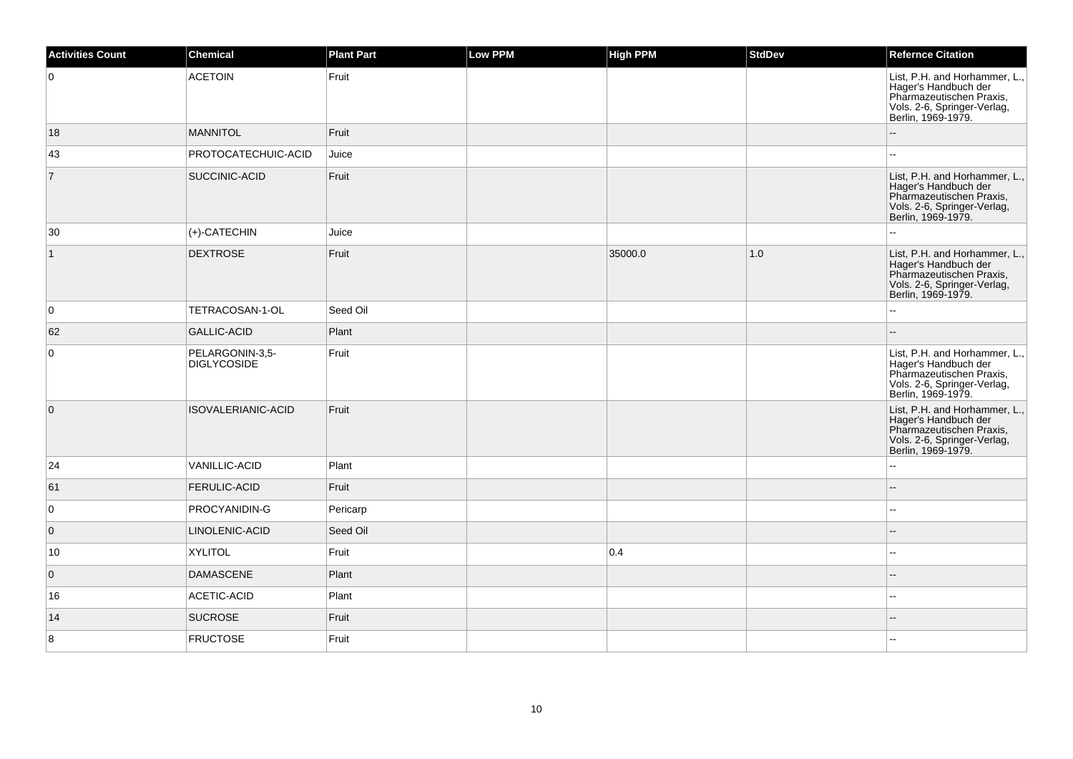| <b>Activities Count</b> | Chemical                              | <b>Plant Part</b> | Low PPM | <b>High PPM</b> | <b>StdDev</b> | <b>Refernce Citation</b>                                                                                                               |
|-------------------------|---------------------------------------|-------------------|---------|-----------------|---------------|----------------------------------------------------------------------------------------------------------------------------------------|
| $\overline{0}$          | <b>ACETOIN</b>                        | Fruit             |         |                 |               | List, P.H. and Horhammer, L.,<br>Hager's Handbuch der<br>Pharmazeutischen Praxis,<br>Vols. 2-6, Springer-Verlag,<br>Berlin, 1969-1979. |
| 18                      | <b>MANNITOL</b>                       | Fruit             |         |                 |               | $\overline{a}$                                                                                                                         |
| 43                      | PROTOCATECHUIC-ACID                   | Juice             |         |                 |               |                                                                                                                                        |
| $\overline{7}$          | SUCCINIC-ACID                         | Fruit             |         |                 |               | List, P.H. and Horhammer, L.,<br>Hager's Handbuch der<br>Pharmazeutischen Praxis,<br>Vols. 2-6, Springer-Verlag,<br>Berlin, 1969-1979. |
| 30                      | $(+)$ -CATECHIN                       | Juice             |         |                 |               |                                                                                                                                        |
| $\vert$ 1               | <b>DEXTROSE</b>                       | Fruit             |         | 35000.0         | 1.0           | List, P.H. and Horhammer, L.,<br>Hager's Handbuch der<br>Pharmazeutischen Praxis,<br>Vols. 2-6, Springer-Verlag,<br>Berlin, 1969-1979. |
| $\overline{0}$          | TETRACOSAN-1-OL                       | Seed Oil          |         |                 |               |                                                                                                                                        |
| 62                      | <b>GALLIC-ACID</b>                    | Plant             |         |                 |               |                                                                                                                                        |
| $\overline{0}$          | PELARGONIN-3,5-<br><b>DIGLYCOSIDE</b> | Fruit             |         |                 |               | List, P.H. and Horhammer, L.,<br>Hager's Handbuch der<br>Pharmazeutischen Praxis,<br>Vols. 2-6, Springer-Verlag,<br>Berlin, 1969-1979. |
| $\overline{0}$          | ISOVALERIANIC-ACID                    | Fruit             |         |                 |               | List, P.H. and Horhammer, L.,<br>Hager's Handbuch der<br>Pharmazeutischen Praxis,<br>Vols. 2-6, Springer-Verlag,<br>Berlin, 1969-1979. |
| 24                      | VANILLIC-ACID                         | Plant             |         |                 |               |                                                                                                                                        |
| 61                      | <b>FERULIC-ACID</b>                   | Fruit             |         |                 |               |                                                                                                                                        |
| $\overline{0}$          | PROCYANIDIN-G                         | Pericarp          |         |                 |               | $\overline{a}$                                                                                                                         |
| $\overline{0}$          | LINOLENIC-ACID                        | Seed Oil          |         |                 |               |                                                                                                                                        |
| 10                      | <b>XYLITOL</b>                        | Fruit             |         | 0.4             |               | $\sim$                                                                                                                                 |
| $\overline{0}$          | <b>DAMASCENE</b>                      | Plant             |         |                 |               |                                                                                                                                        |
| 16                      | ACETIC-ACID                           | Plant             |         |                 |               |                                                                                                                                        |
| 14                      | <b>SUCROSE</b>                        | Fruit             |         |                 |               |                                                                                                                                        |
| 8                       | <b>FRUCTOSE</b>                       | Fruit             |         |                 |               |                                                                                                                                        |